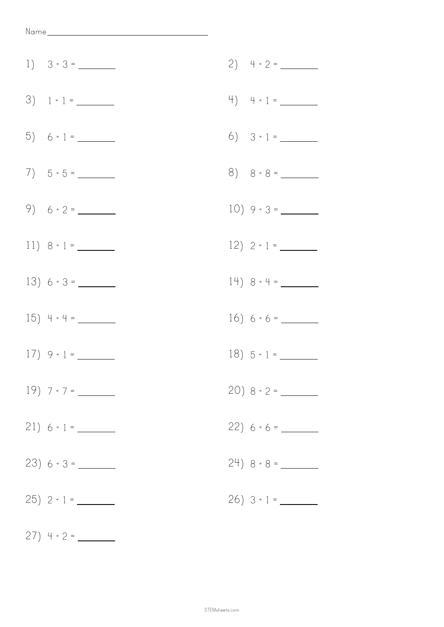| $3) 1 \div 1 =$  |                  |
|------------------|------------------|
|                  | 6) $3 \div 1 =$  |
|                  |                  |
| $9) 6 \div 2 =$  |                  |
| $11) 8 \div 1 =$ |                  |
| $13) 6 \div 3 =$ | $14) 8 \div 4 =$ |
|                  | $16) 6 \div 6 =$ |
|                  | $18) 5 \div 1 =$ |
|                  |                  |
| $21) 6 \div 1 =$ |                  |
|                  |                  |
|                  |                  |

27) 4 ÷ 2 =